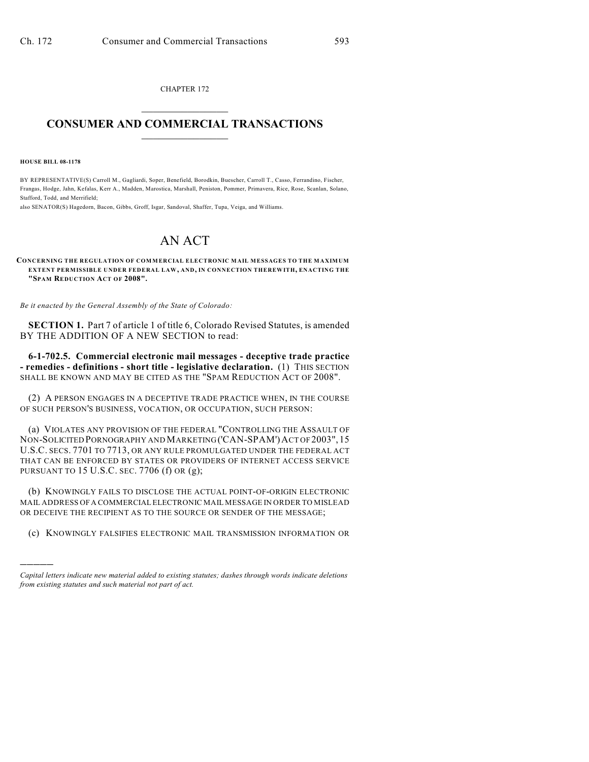CHAPTER 172  $\mathcal{L}_\text{max}$  . The set of the set of the set of the set of the set of the set of the set of the set of the set of the set of the set of the set of the set of the set of the set of the set of the set of the set of the set

## **CONSUMER AND COMMERCIAL TRANSACTIONS**  $\frac{1}{2}$  ,  $\frac{1}{2}$  ,  $\frac{1}{2}$  ,  $\frac{1}{2}$  ,  $\frac{1}{2}$  ,  $\frac{1}{2}$

**HOUSE BILL 08-1178**

)))))

BY REPRESENTATIVE(S) Carroll M., Gagliardi, Soper, Benefield, Borodkin, Buescher, Carroll T., Casso, Ferrandino, Fischer, Frangas, Hodge, Jahn, Kefalas, Kerr A., Madden, Marostica, Marshall, Peniston, Pommer, Primavera, Rice, Rose, Scanlan, Solano, Stafford, Todd, and Merrifield;

also SENATOR(S) Hagedorn, Bacon, Gibbs, Groff, Isgar, Sandoval, Shaffer, Tupa, Veiga, and Williams.

## AN ACT

## **CONCERNING THE REGULATION OF COMMERCIAL ELECTRONIC MAIL MESSAGES TO THE MAXIMUM EXTENT PERMISSIBLE UNDER FEDERAL LAW, AND, IN CONNECTION THEREWITH, ENACTING THE "SPAM REDUCTION ACT OF 2008".**

*Be it enacted by the General Assembly of the State of Colorado:*

**SECTION 1.** Part 7 of article 1 of title 6, Colorado Revised Statutes, is amended BY THE ADDITION OF A NEW SECTION to read:

**6-1-702.5. Commercial electronic mail messages - deceptive trade practice - remedies - definitions - short title - legislative declaration.** (1) THIS SECTION SHALL BE KNOWN AND MAY BE CITED AS THE "SPAM REDUCTION ACT OF 2008".

(2) A PERSON ENGAGES IN A DECEPTIVE TRADE PRACTICE WHEN, IN THE COURSE OF SUCH PERSON'S BUSINESS, VOCATION, OR OCCUPATION, SUCH PERSON:

(a) VIOLATES ANY PROVISION OF THE FEDERAL "CONTROLLING THE ASSAULT OF NON-SOLICITED PORNOGRAPHY AND MARKETING ('CAN-SPAM')ACT OF 2003", 15 U.S.C. SECS. 7701 TO 7713, OR ANY RULE PROMULGATED UNDER THE FEDERAL ACT THAT CAN BE ENFORCED BY STATES OR PROVIDERS OF INTERNET ACCESS SERVICE PURSUANT TO 15 U.S.C. SEC. 7706 (f) OR (g);

(b) KNOWINGLY FAILS TO DISCLOSE THE ACTUAL POINT-OF-ORIGIN ELECTRONIC MAIL ADDRESS OF A COMMERCIAL ELECTRONIC MAIL MESSAGE IN ORDER TO MISLEAD OR DECEIVE THE RECIPIENT AS TO THE SOURCE OR SENDER OF THE MESSAGE;

(c) KNOWINGLY FALSIFIES ELECTRONIC MAIL TRANSMISSION INFORMATION OR

*Capital letters indicate new material added to existing statutes; dashes through words indicate deletions from existing statutes and such material not part of act.*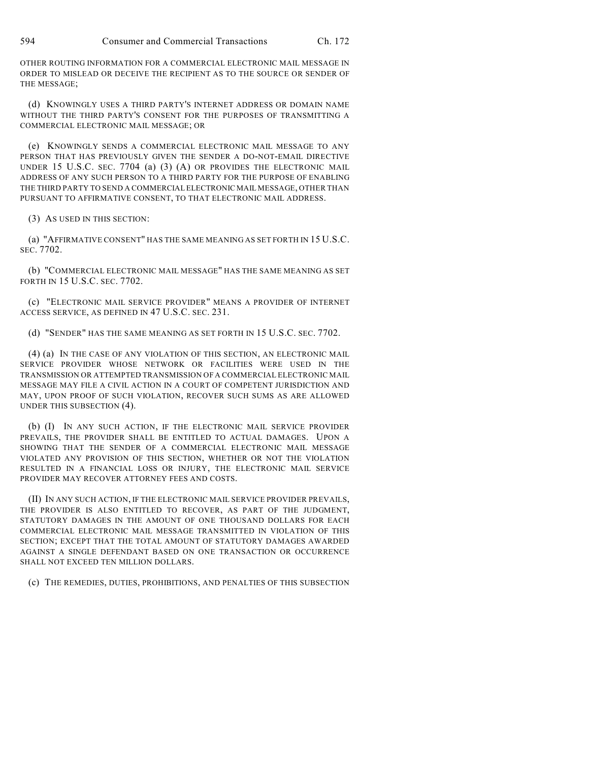OTHER ROUTING INFORMATION FOR A COMMERCIAL ELECTRONIC MAIL MESSAGE IN ORDER TO MISLEAD OR DECEIVE THE RECIPIENT AS TO THE SOURCE OR SENDER OF THE MESSAGE;

(d) KNOWINGLY USES A THIRD PARTY'S INTERNET ADDRESS OR DOMAIN NAME WITHOUT THE THIRD PARTY'S CONSENT FOR THE PURPOSES OF TRANSMITTING A COMMERCIAL ELECTRONIC MAIL MESSAGE; OR

(e) KNOWINGLY SENDS A COMMERCIAL ELECTRONIC MAIL MESSAGE TO ANY PERSON THAT HAS PREVIOUSLY GIVEN THE SENDER A DO-NOT-EMAIL DIRECTIVE UNDER 15 U.S.C. SEC. 7704 (a) (3) (A) OR PROVIDES THE ELECTRONIC MAIL ADDRESS OF ANY SUCH PERSON TO A THIRD PARTY FOR THE PURPOSE OF ENABLING THE THIRD PARTY TO SEND A COMMERCIAL ELECTRONIC MAIL MESSAGE, OTHER THAN PURSUANT TO AFFIRMATIVE CONSENT, TO THAT ELECTRONIC MAIL ADDRESS.

(3) AS USED IN THIS SECTION:

(a) "AFFIRMATIVE CONSENT" HAS THE SAME MEANING AS SET FORTH IN 15 U.S.C. SEC. 7702.

(b) "COMMERCIAL ELECTRONIC MAIL MESSAGE" HAS THE SAME MEANING AS SET FORTH IN 15 U.S.C. SEC. 7702.

(c) "ELECTRONIC MAIL SERVICE PROVIDER" MEANS A PROVIDER OF INTERNET ACCESS SERVICE, AS DEFINED IN 47 U.S.C. SEC. 231.

(d) "SENDER" HAS THE SAME MEANING AS SET FORTH IN 15 U.S.C. SEC. 7702.

(4) (a) IN THE CASE OF ANY VIOLATION OF THIS SECTION, AN ELECTRONIC MAIL SERVICE PROVIDER WHOSE NETWORK OR FACILITIES WERE USED IN THE TRANSMISSION OR ATTEMPTED TRANSMISSION OF A COMMERCIAL ELECTRONIC MAIL MESSAGE MAY FILE A CIVIL ACTION IN A COURT OF COMPETENT JURISDICTION AND MAY, UPON PROOF OF SUCH VIOLATION, RECOVER SUCH SUMS AS ARE ALLOWED UNDER THIS SUBSECTION (4).

(b) (I) IN ANY SUCH ACTION, IF THE ELECTRONIC MAIL SERVICE PROVIDER PREVAILS, THE PROVIDER SHALL BE ENTITLED TO ACTUAL DAMAGES. UPON A SHOWING THAT THE SENDER OF A COMMERCIAL ELECTRONIC MAIL MESSAGE VIOLATED ANY PROVISION OF THIS SECTION, WHETHER OR NOT THE VIOLATION RESULTED IN A FINANCIAL LOSS OR INJURY, THE ELECTRONIC MAIL SERVICE PROVIDER MAY RECOVER ATTORNEY FEES AND COSTS.

(II) IN ANY SUCH ACTION, IF THE ELECTRONIC MAIL SERVICE PROVIDER PREVAILS, THE PROVIDER IS ALSO ENTITLED TO RECOVER, AS PART OF THE JUDGMENT, STATUTORY DAMAGES IN THE AMOUNT OF ONE THOUSAND DOLLARS FOR EACH COMMERCIAL ELECTRONIC MAIL MESSAGE TRANSMITTED IN VIOLATION OF THIS SECTION; EXCEPT THAT THE TOTAL AMOUNT OF STATUTORY DAMAGES AWARDED AGAINST A SINGLE DEFENDANT BASED ON ONE TRANSACTION OR OCCURRENCE SHALL NOT EXCEED TEN MILLION DOLLARS.

(c) THE REMEDIES, DUTIES, PROHIBITIONS, AND PENALTIES OF THIS SUBSECTION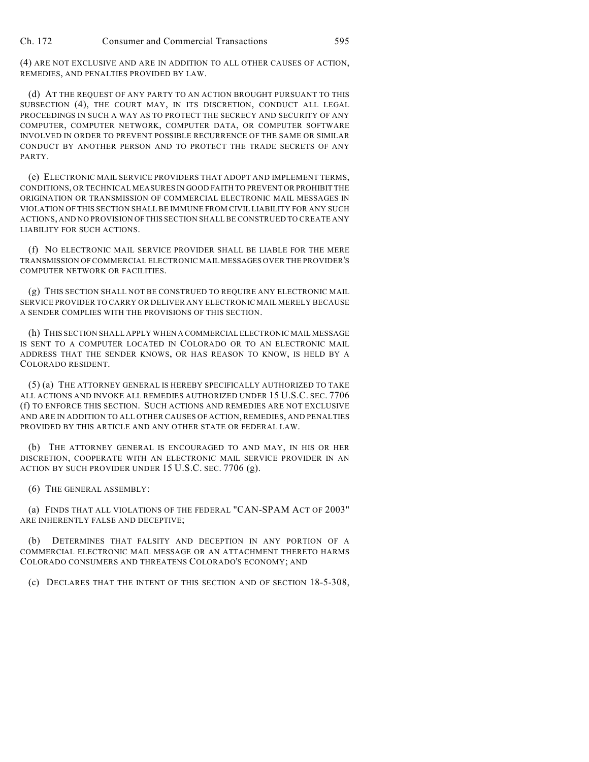(4) ARE NOT EXCLUSIVE AND ARE IN ADDITION TO ALL OTHER CAUSES OF ACTION, REMEDIES, AND PENALTIES PROVIDED BY LAW.

(d) AT THE REQUEST OF ANY PARTY TO AN ACTION BROUGHT PURSUANT TO THIS SUBSECTION (4), THE COURT MAY, IN ITS DISCRETION, CONDUCT ALL LEGAL PROCEEDINGS IN SUCH A WAY AS TO PROTECT THE SECRECY AND SECURITY OF ANY COMPUTER, COMPUTER NETWORK, COMPUTER DATA, OR COMPUTER SOFTWARE INVOLVED IN ORDER TO PREVENT POSSIBLE RECURRENCE OF THE SAME OR SIMILAR CONDUCT BY ANOTHER PERSON AND TO PROTECT THE TRADE SECRETS OF ANY PARTY.

(e) ELECTRONIC MAIL SERVICE PROVIDERS THAT ADOPT AND IMPLEMENT TERMS, CONDITIONS, OR TECHNICAL MEASURES IN GOOD FAITH TO PREVENT OR PROHIBIT THE ORIGINATION OR TRANSMISSION OF COMMERCIAL ELECTRONIC MAIL MESSAGES IN VIOLATION OF THIS SECTION SHALL BE IMMUNE FROM CIVIL LIABILITY FOR ANY SUCH ACTIONS, AND NO PROVISION OF THIS SECTION SHALL BE CONSTRUED TO CREATE ANY LIABILITY FOR SUCH ACTIONS.

(f) NO ELECTRONIC MAIL SERVICE PROVIDER SHALL BE LIABLE FOR THE MERE TRANSMISSION OF COMMERCIAL ELECTRONIC MAIL MESSAGES OVER THE PROVIDER'S COMPUTER NETWORK OR FACILITIES.

(g) THIS SECTION SHALL NOT BE CONSTRUED TO REQUIRE ANY ELECTRONIC MAIL SERVICE PROVIDER TO CARRY OR DELIVER ANY ELECTRONIC MAIL MERELY BECAUSE A SENDER COMPLIES WITH THE PROVISIONS OF THIS SECTION.

(h) THIS SECTION SHALL APPLY WHEN A COMMERCIAL ELECTRONIC MAIL MESSAGE IS SENT TO A COMPUTER LOCATED IN COLORADO OR TO AN ELECTRONIC MAIL ADDRESS THAT THE SENDER KNOWS, OR HAS REASON TO KNOW, IS HELD BY A COLORADO RESIDENT.

(5) (a) THE ATTORNEY GENERAL IS HEREBY SPECIFICALLY AUTHORIZED TO TAKE ALL ACTIONS AND INVOKE ALL REMEDIES AUTHORIZED UNDER 15 U.S.C. SEC. 7706 (f) TO ENFORCE THIS SECTION. SUCH ACTIONS AND REMEDIES ARE NOT EXCLUSIVE AND ARE IN ADDITION TO ALL OTHER CAUSES OF ACTION, REMEDIES, AND PENALTIES PROVIDED BY THIS ARTICLE AND ANY OTHER STATE OR FEDERAL LAW.

(b) THE ATTORNEY GENERAL IS ENCOURAGED TO AND MAY, IN HIS OR HER DISCRETION, COOPERATE WITH AN ELECTRONIC MAIL SERVICE PROVIDER IN AN ACTION BY SUCH PROVIDER UNDER 15 U.S.C. SEC. 7706 (g).

(6) THE GENERAL ASSEMBLY:

(a) FINDS THAT ALL VIOLATIONS OF THE FEDERAL "CAN-SPAM ACT OF 2003" ARE INHERENTLY FALSE AND DECEPTIVE;

(b) DETERMINES THAT FALSITY AND DECEPTION IN ANY PORTION OF A COMMERCIAL ELECTRONIC MAIL MESSAGE OR AN ATTACHMENT THERETO HARMS COLORADO CONSUMERS AND THREATENS COLORADO'S ECONOMY; AND

(c) DECLARES THAT THE INTENT OF THIS SECTION AND OF SECTION 18-5-308,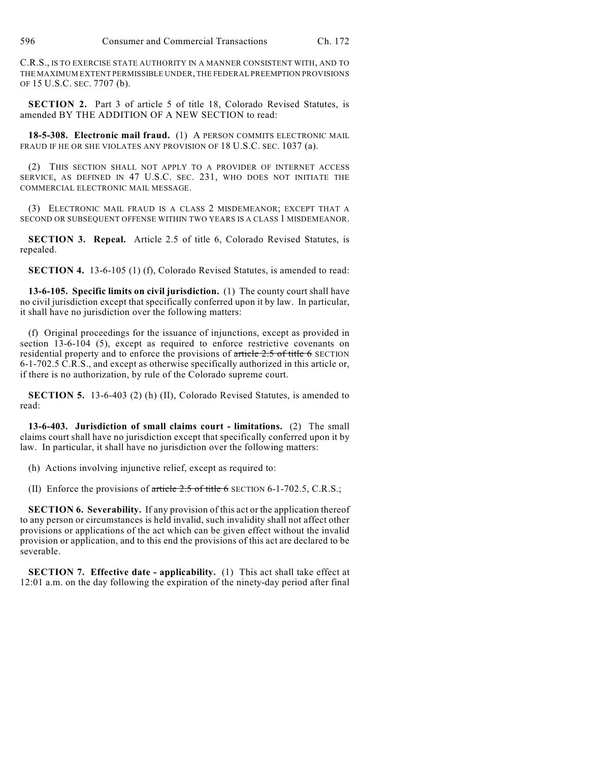C.R.S., IS TO EXERCISE STATE AUTHORITY IN A MANNER CONSISTENT WITH, AND TO THE MAXIMUM EXTENT PERMISSIBLE UNDER, THE FEDERAL PREEMPTION PROVISIONS OF 15 U.S.C. SEC. 7707 (b).

**SECTION 2.** Part 3 of article 5 of title 18, Colorado Revised Statutes, is amended BY THE ADDITION OF A NEW SECTION to read:

**18-5-308. Electronic mail fraud.** (1) A PERSON COMMITS ELECTRONIC MAIL FRAUD IF HE OR SHE VIOLATES ANY PROVISION OF 18 U.S.C. SEC. 1037 (a).

(2) THIS SECTION SHALL NOT APPLY TO A PROVIDER OF INTERNET ACCESS SERVICE, AS DEFINED IN 47 U.S.C. SEC. 231, WHO DOES NOT INITIATE THE COMMERCIAL ELECTRONIC MAIL MESSAGE.

(3) ELECTRONIC MAIL FRAUD IS A CLASS 2 MISDEMEANOR; EXCEPT THAT A SECOND OR SUBSEQUENT OFFENSE WITHIN TWO YEARS IS A CLASS 1 MISDEMEANOR.

**SECTION 3. Repeal.** Article 2.5 of title 6, Colorado Revised Statutes, is repealed.

**SECTION 4.** 13-6-105 (1) (f), Colorado Revised Statutes, is amended to read:

**13-6-105. Specific limits on civil jurisdiction.** (1) The county court shall have no civil jurisdiction except that specifically conferred upon it by law. In particular, it shall have no jurisdiction over the following matters:

(f) Original proceedings for the issuance of injunctions, except as provided in section 13-6-104 (5), except as required to enforce restrictive covenants on residential property and to enforce the provisions of article 2.5 of title 6 SECTION 6-1-702.5 C.R.S., and except as otherwise specifically authorized in this article or, if there is no authorization, by rule of the Colorado supreme court.

**SECTION 5.** 13-6-403 (2) (h) (II), Colorado Revised Statutes, is amended to read:

**13-6-403. Jurisdiction of small claims court - limitations.** (2) The small claims court shall have no jurisdiction except that specifically conferred upon it by law. In particular, it shall have no jurisdiction over the following matters:

(h) Actions involving injunctive relief, except as required to:

(II) Enforce the provisions of article  $2.5$  of title 6 SECTION 6-1-702.5, C.R.S.;

**SECTION 6. Severability.** If any provision of this act or the application thereof to any person or circumstances is held invalid, such invalidity shall not affect other provisions or applications of the act which can be given effect without the invalid provision or application, and to this end the provisions of this act are declared to be severable.

**SECTION 7. Effective date - applicability.** (1) This act shall take effect at 12:01 a.m. on the day following the expiration of the ninety-day period after final